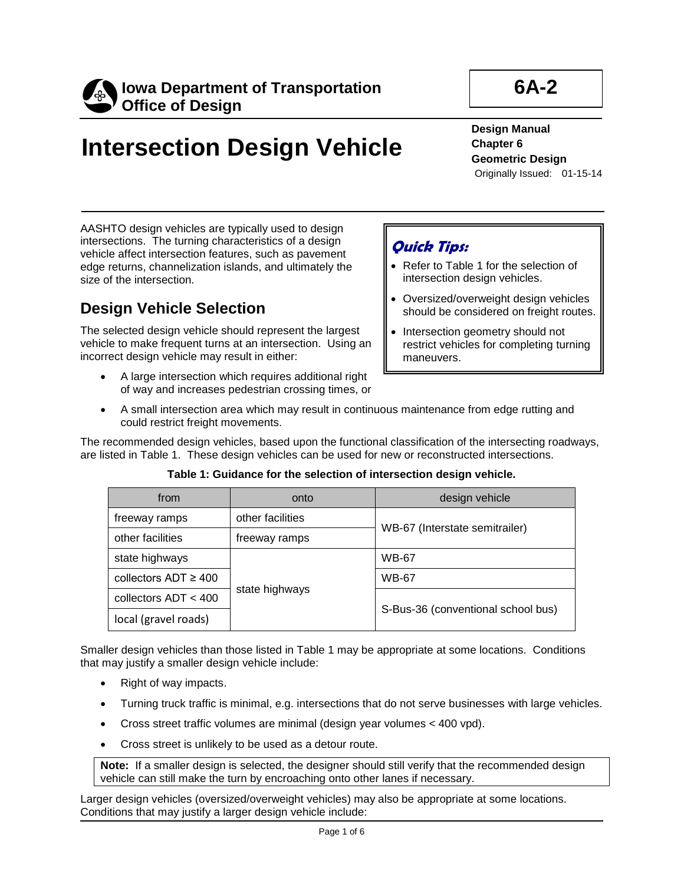

# **Intersection Design Vehicle**

**6A-2**

**Design Manual Chapter 6 Geometric Design** Originally Issued: 01-15-14

AASHTO design vehicles are typically used to design intersections. The turning characteristics of a design vehicle affect intersection features, such as pavement edge returns, channelization islands, and ultimately the size of the intersection.

### **Design Vehicle Selection**

The selected design vehicle should represent the largest vehicle to make frequent turns at an intersection. Using an incorrect design vehicle may result in either:

### **Quick Tips:**

- Refer to Table 1 for the selection of intersection design vehicles.
- Oversized/overweight design vehicles should be considered on freight routes.
- Intersection geometry should not restrict vehicles for completing turning maneuvers.
- A large intersection which requires additional right of way and increases pedestrian crossing times, or
- A small intersection area which may result in continuous maintenance from edge rutting and could restrict freight movements.

The recommended design vehicles, based upon the functional classification of the intersecting roadways, are listed in Table 1. These design vehicles can be used for new or reconstructed intersections.

| from                      | onto             | design vehicle                     |
|---------------------------|------------------|------------------------------------|
| freeway ramps             | other facilities | WB-67 (Interstate semitrailer)     |
| other facilities          | freeway ramps    |                                    |
| state highways            | state highways   | <b>WB-67</b>                       |
| collectors $ADT \geq 400$ |                  | <b>WB-67</b>                       |
| collectors ADT < 400      |                  | S-Bus-36 (conventional school bus) |
| local (gravel roads)      |                  |                                    |

#### **Table 1: Guidance for the selection of intersection design vehicle.**

Smaller design vehicles than those listed in Table 1 may be appropriate at some locations. Conditions that may justify a smaller design vehicle include:

- Right of way impacts.
- Turning truck traffic is minimal, e.g. intersections that do not serve businesses with large vehicles.
- Cross street traffic volumes are minimal (design year volumes < 400 vpd).
- Cross street is unlikely to be used as a detour route.

**Note:** If a smaller design is selected, the designer should still verify that the recommended design vehicle can still make the turn by encroaching onto other lanes if necessary.

Larger design vehicles (oversized/overweight vehicles) may also be appropriate at some locations. Conditions that may justify a larger design vehicle include: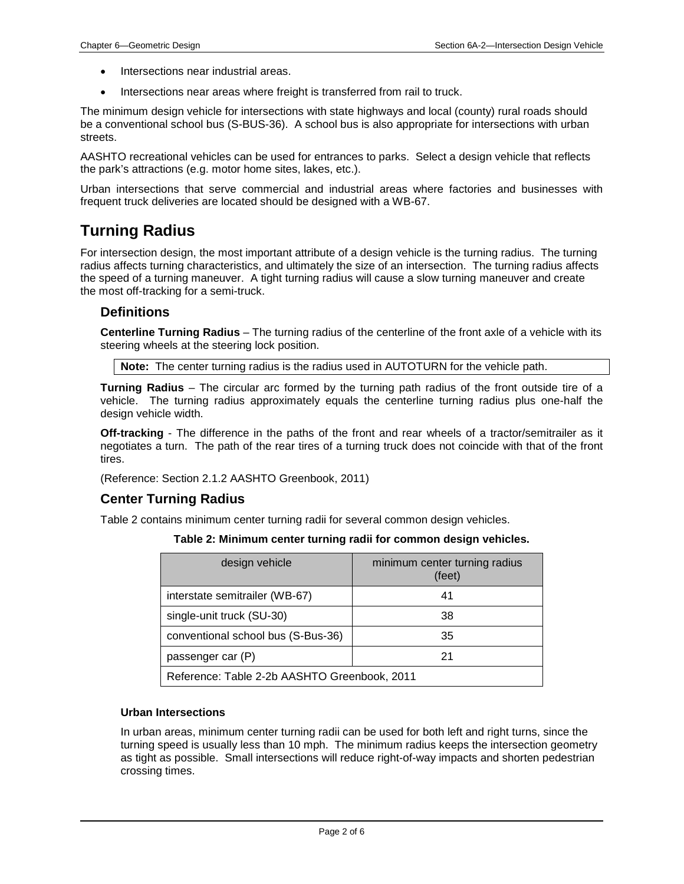- Intersections near industrial areas.
- Intersections near areas where freight is transferred from rail to truck.

The minimum design vehicle for intersections with state highways and local (county) rural roads should be a conventional school bus (S-BUS-36). A school bus is also appropriate for intersections with urban streets.

AASHTO recreational vehicles can be used for entrances to parks. Select a design vehicle that reflects the park's attractions (e.g. motor home sites, lakes, etc.).

Urban intersections that serve commercial and industrial areas where factories and businesses with frequent truck deliveries are located should be designed with a WB-67.

### **Turning Radius**

For intersection design, the most important attribute of a design vehicle is the turning radius. The turning radius affects turning characteristics, and ultimately the size of an intersection. The turning radius affects the speed of a turning maneuver. A tight turning radius will cause a slow turning maneuver and create the most off-tracking for a semi-truck.

#### **Definitions**

**Centerline Turning Radius** – The turning radius of the centerline of the front axle of a vehicle with its steering wheels at the steering lock position.

**Note:** The center turning radius is the radius used in AUTOTURN for the vehicle path.

**Turning Radius** – The circular arc formed by the turning path radius of the front outside tire of a vehicle. The turning radius approximately equals the centerline turning radius plus one-half the design vehicle width.

**Off-tracking** - The difference in the paths of the front and rear wheels of a tractor/semitrailer as it negotiates a turn. The path of the rear tires of a turning truck does not coincide with that of the front tires.

(Reference: Section 2.1.2 AASHTO Greenbook, 2011)

#### **Center Turning Radius**

Table 2 contains minimum center turning radii for several common design vehicles.

**Table 2: Minimum center turning radii for common design vehicles.**

| design vehicle                               | minimum center turning radius<br>(feet) |  |
|----------------------------------------------|-----------------------------------------|--|
| interstate semitrailer (WB-67)               | 41                                      |  |
| single-unit truck (SU-30)                    | 38                                      |  |
| conventional school bus (S-Bus-36)           | 35                                      |  |
| passenger car (P)                            | 21                                      |  |
| Reference: Table 2-2b AASHTO Greenbook, 2011 |                                         |  |

#### **Urban Intersections**

In urban areas, minimum center turning radii can be used for both left and right turns, since the turning speed is usually less than 10 mph. The minimum radius keeps the intersection geometry as tight as possible. Small intersections will reduce right-of-way impacts and shorten pedestrian crossing times.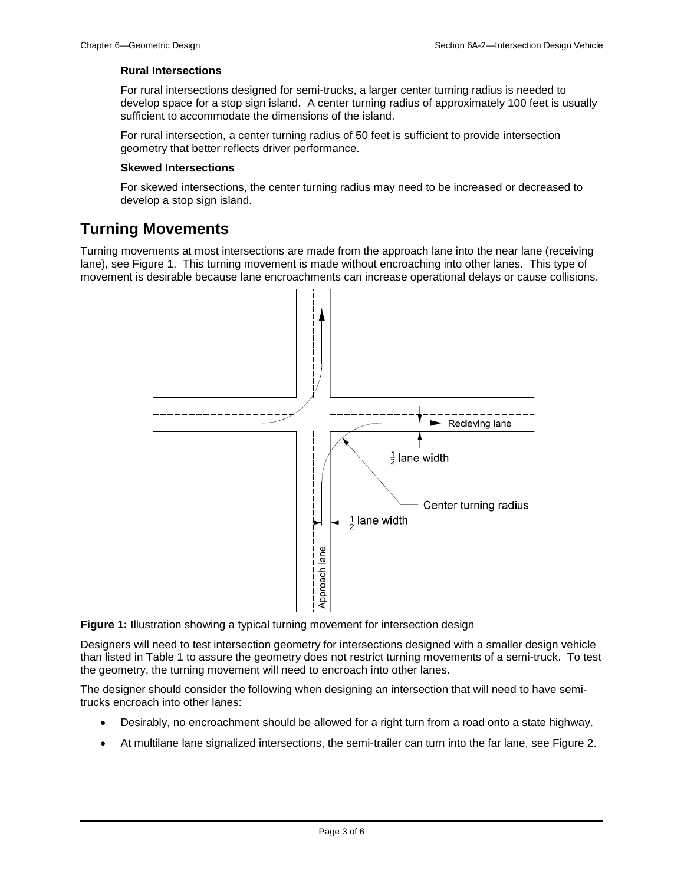#### **Rural Intersections**

For rural intersections designed for semi-trucks, a larger center turning radius is needed to develop space for a stop sign island. A center turning radius of approximately 100 feet is usually sufficient to accommodate the dimensions of the island.

For rural intersection, a center turning radius of 50 feet is sufficient to provide intersection geometry that better reflects driver performance.

#### **Skewed Intersections**

For skewed intersections, the center turning radius may need to be increased or decreased to develop a stop sign island.

### **Turning Movements**

Turning movements at most intersections are made from the approach lane into the near lane (receiving lane), see Figure 1. This turning movement is made without encroaching into other lanes. This type of movement is desirable because lane encroachments can increase operational delays or cause collisions.



**Figure 1:** Illustration showing a typical turning movement for intersection design

Designers will need to test intersection geometry for intersections designed with a smaller design vehicle than listed in Table 1 to assure the geometry does not restrict turning movements of a semi-truck. To test the geometry, the turning movement will need to encroach into other lanes.

The designer should consider the following when designing an intersection that will need to have semitrucks encroach into other lanes:

- Desirably, no encroachment should be allowed for a right turn from a road onto a state highway.
- At multilane lane signalized intersections, the semi-trailer can turn into the far lane, see Figure 2.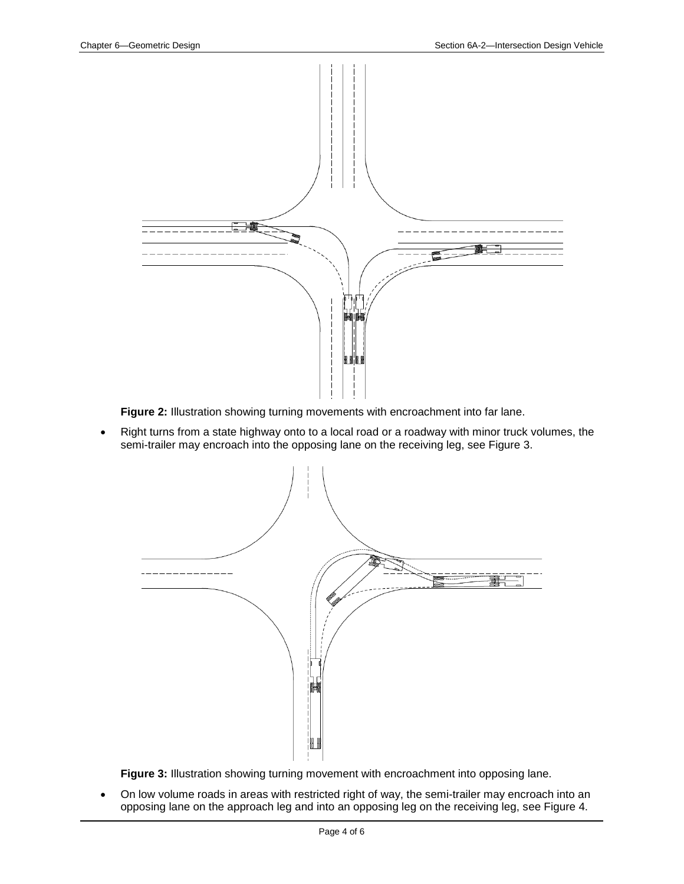

**Figure 2:** Illustration showing turning movements with encroachment into far lane.

• Right turns from a state highway onto to a local road or a roadway with minor truck volumes, the semi-trailer may encroach into the opposing lane on the receiving leg, see Figure 3.



**Figure 3:** Illustration showing turning movement with encroachment into opposing lane.

• On low volume roads in areas with restricted right of way, the semi-trailer may encroach into an opposing lane on the approach leg and into an opposing leg on the receiving leg, see Figure 4.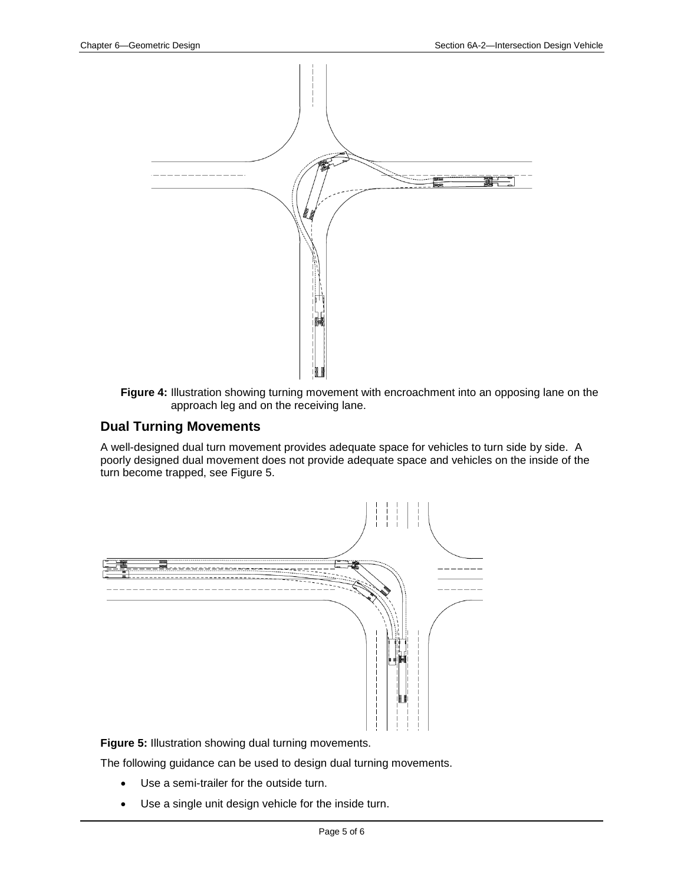

**Figure 4:** Illustration showing turning movement with encroachment into an opposing lane on the approach leg and on the receiving lane.

### **Dual Turning Movements**

A well-designed dual turn movement provides adequate space for vehicles to turn side by side. A poorly designed dual movement does not provide adequate space and vehicles on the inside of the turn become trapped, see Figure 5.



**Figure 5:** Illustration showing dual turning movements.

The following guidance can be used to design dual turning movements.

- Use a semi-trailer for the outside turn.
- Use a single unit design vehicle for the inside turn.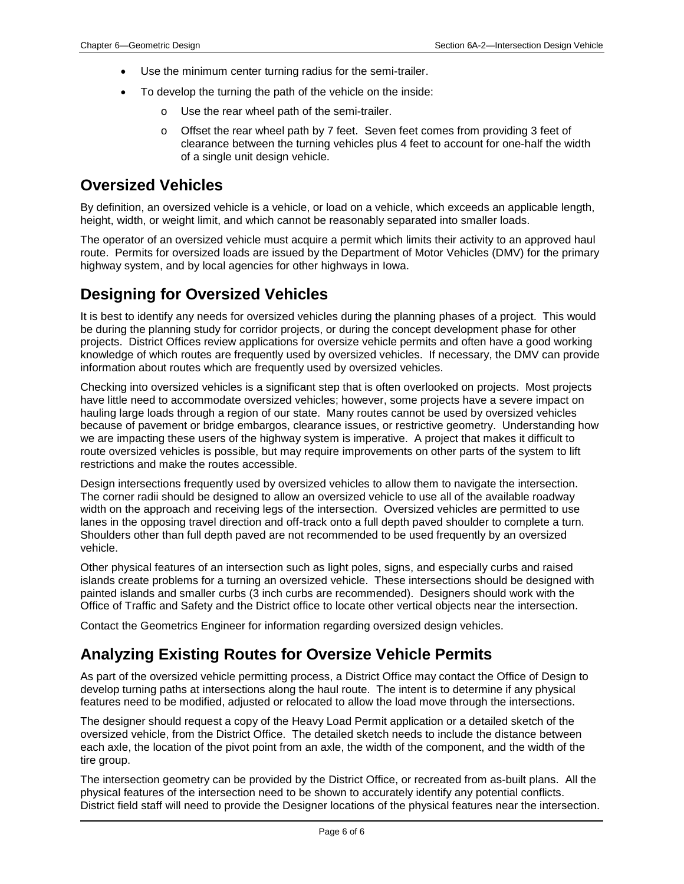- Use the minimum center turning radius for the semi-trailer.
- To develop the turning the path of the vehicle on the inside:
	- Use the rear wheel path of the semi-trailer.
	- o Offset the rear wheel path by 7 feet. Seven feet comes from providing 3 feet of clearance between the turning vehicles plus 4 feet to account for one-half the width of a single unit design vehicle.

### **Oversized Vehicles**

By definition, an oversized vehicle is a vehicle, or load on a vehicle, which exceeds an applicable length, height, width, or weight limit, and which cannot be reasonably separated into smaller loads.

The operator of an oversized vehicle must acquire a permit which limits their activity to an approved haul route. Permits for oversized loads are issued by the Department of Motor Vehicles (DMV) for the primary highway system, and by local agencies for other highways in Iowa.

### **Designing for Oversized Vehicles**

It is best to identify any needs for oversized vehicles during the planning phases of a project. This would be during the planning study for corridor projects, or during the concept development phase for other projects. District Offices review applications for oversize vehicle permits and often have a good working knowledge of which routes are frequently used by oversized vehicles. If necessary, the DMV can provide information about routes which are frequently used by oversized vehicles.

Checking into oversized vehicles is a significant step that is often overlooked on projects. Most projects have little need to accommodate oversized vehicles; however, some projects have a severe impact on hauling large loads through a region of our state. Many routes cannot be used by oversized vehicles because of pavement or bridge embargos, clearance issues, or restrictive geometry. Understanding how we are impacting these users of the highway system is imperative. A project that makes it difficult to route oversized vehicles is possible, but may require improvements on other parts of the system to lift restrictions and make the routes accessible.

Design intersections frequently used by oversized vehicles to allow them to navigate the intersection. The corner radii should be designed to allow an oversized vehicle to use all of the available roadway width on the approach and receiving legs of the intersection. Oversized vehicles are permitted to use lanes in the opposing travel direction and off-track onto a full depth paved shoulder to complete a turn. Shoulders other than full depth paved are not recommended to be used frequently by an oversized vehicle.

Other physical features of an intersection such as light poles, signs, and especially curbs and raised islands create problems for a turning an oversized vehicle. These intersections should be designed with painted islands and smaller curbs (3 inch curbs are recommended). Designers should work with the Office of Traffic and Safety and the District office to locate other vertical objects near the intersection.

Contact the Geometrics Engineer for information regarding oversized design vehicles.

### **Analyzing Existing Routes for Oversize Vehicle Permits**

As part of the oversized vehicle permitting process, a District Office may contact the Office of Design to develop turning paths at intersections along the haul route. The intent is to determine if any physical features need to be modified, adjusted or relocated to allow the load move through the intersections.

The designer should request a copy of the Heavy Load Permit application or a detailed sketch of the oversized vehicle, from the District Office. The detailed sketch needs to include the distance between each axle, the location of the pivot point from an axle, the width of the component, and the width of the tire group.

The intersection geometry can be provided by the District Office, or recreated from as-built plans. All the physical features of the intersection need to be shown to accurately identify any potential conflicts. District field staff will need to provide the Designer locations of the physical features near the intersection.